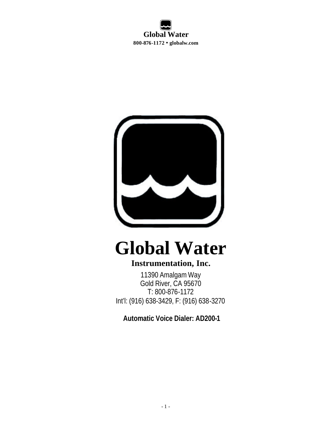

# **Global Water**

### **Instrumentation, Inc.**

11390 Amalgam Way Gold River, CA 95670 T: 800-876-1172 Int'l: (916) 638-3429, F: (916) 638-3270

 **Automatic Voice Dialer: AD200-1**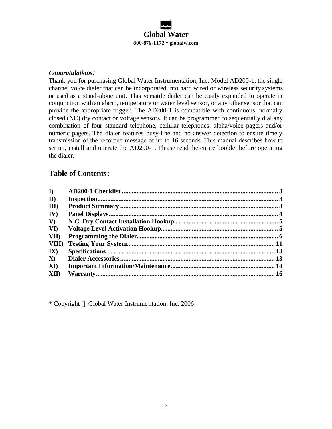

#### *Congratulations!*

Thank you for purchasing Global Water Instrumentation, Inc. Model AD200-1, the single channel voice dialer that can be incorporated into hard wired or wireless security systems or used as a stand-alone unit. This versatile dialer can be easily expanded to operate in conjunction with an alarm, temperature or water level sensor, or any other sensor that can provide the appropriate trigger. The AD200-1 is compatible with continuous, normally closed (NC) dry contact or voltage sensors. It can be programmed to sequentially dial any combination of four standard telephone, cellular telephones, alpha/voice pagers and/or numeric pagers. The dialer features busy-line and no answer detection to ensure timely transmission of the recorded message of up to 16 seconds. This manual describes how to set up, install and operate the AD200-1. Please read the entire booklet before operating the dialer.

#### **Table of Contents:**

| $\mathbf{D}$             |  |
|--------------------------|--|
| $\mathbf{I}$             |  |
| $\mathbf{I}(\mathbf{I})$ |  |
| IV)                      |  |
| $\mathbf{V}$             |  |
| VI)                      |  |
| VII)                     |  |
| VIII)                    |  |
| $\mathbf{I}(\mathbf{X})$ |  |
| $\mathbf{X}$             |  |
| XI)                      |  |
| XII)                     |  |

\* Copyright Global Water Instrumentation, Inc. 2006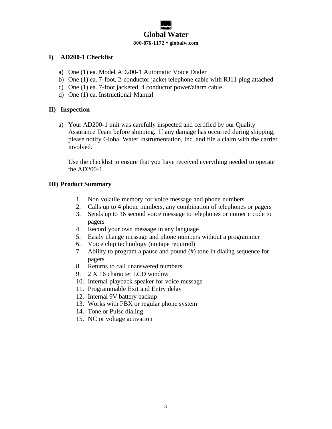#### **I) AD200-1 Checklist**

- a) One (1) ea. Model AD200-1 Automatic Voice Dialer
- b) One (1) ea. 7-foot, 2-conductor jacket telephone cable with RJ11 plug attached
- c) One (1) ea. 7-foot jacketed, 4 conductor power/alarm cable
- d) One (1) ea. Instructional Manual

#### **II) Inspection**

a) Your AD200-1 unit was carefully inspected and certified by our Quality Assurance Team before shipping. If any damage has occurred during shipping, please notify Global Water Instrumentation, Inc. and file a claim with the carrier involved.

Use the checklist to ensure that you have received everything needed to operate the AD200-1.

#### **III) Product Summary**

- 1. Non volatile memory for voice message and phone numbers.
- 2. Calls up to 4 phone numbers, any combination of telephones or pagers
- 3. Sends up to 16 second voice message to telephones or numeric code to pagers
- 4. Record your own message in any language
- 5. Easily change message and phone numbers without a programmer
- 6. Voice chip technology (no tape required)
- 7. Ability to program a pause and pound (#) tone in dialing sequence for pagers
- 8. Returns to call unanswered numbers
- 9. 2 X 16 character LCD window
- 10. Internal playback speaker for voice message
- 11. Programmable Exit and Entry delay
- 12. Internal 9V battery backup
- 13. Works with PBX or regular phone system
- 14. Tone or Pulse dialing
- 15. NC or voltage activation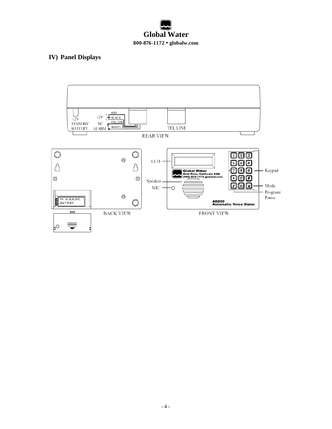#### **IV) Panel Displays**

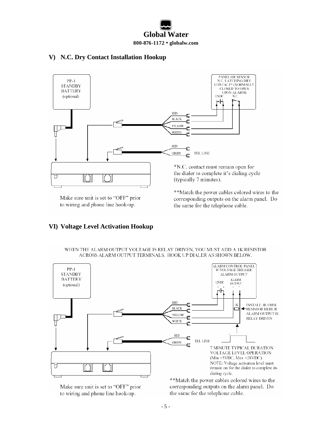#### **V) N.C. Dry Contact Installation Hookup**



Make sure unit is set to "OFF" prior to wiring and phone line hook-up.

**VI) Voltage Level Activation Hookup**

\*\*Match the power cables colored wires to the corresponding outputs on the alarm panel. Do the same for the telephone cable.

#### WHEN THE ALARM OUTPUT VOLTAGE IS RELAY DRIVEN, YOU MUST ADD A 1K RESISTOR ACROSS ALARM OUTPUT TERMINALS. HOOK UP DIALER AS SHOWN BELOW.



Make sure unit is set to "OFF" prior to wiring and phone line hook-up.

\*\*Match the power cables colored wires to the corresponding outputs on the alarm panel. Do the same for the telephone cable.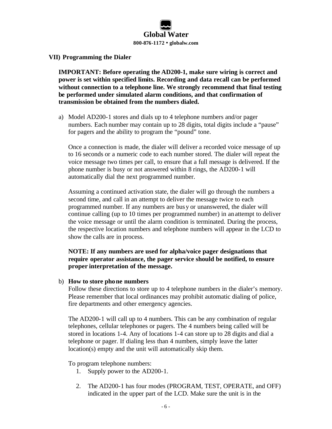#### **VII) Programming the Dialer**

**IMPORTANT: Before operating the AD200-1, make sure wiring is correct and power is set within specified limits. Recording and data recall can be performed without connection to a telephone line. We strongly recommend that final testing be performed under simulated alarm conditions, and that confirmation of transmission be obtained from the numbers dialed.**

a) Model AD200-1 stores and dials up to 4 telephone numbers and/or pager numbers. Each number may contain up to 28 digits, total digits include a "pause" for pagers and the ability to program the "pound" tone.

Once a connection is made, the dialer will deliver a recorded voice message of up to 16 seconds or a numeric code to each number stored. The dialer will repeat the voice message two times per call, to ensure that a full message is delivered. If the phone number is busy or not answered within 8 rings, the AD200-1 will automatically dial the next programmed number.

Assuming a continued activation state, the dialer will go through the numbers a second time, and call in an attempt to deliver the message twice to each programmed number. If any numbers are busy or unanswered, the dialer will continue calling (up to 10 times per programmed number) in anattempt to deliver the voice message or until the alarm condition is terminated. During the process, the respective location numbers and telephone numbers will appear in the LCD to show the calls are in process.

#### **NOTE: If any numbers are used for alpha/voice pager designations that require operator assistance, the pager service should be notified, to ensure proper interpretation of the message.**

#### b) **How to store phone numbers**

Follow these directions to store up to 4 telephone numbers in the dialer's memory. Please remember that local ordinances may prohibit automatic dialing of police, fire departments and other emergency agencies.

The AD200-1 will call up to 4 numbers. This can be any combination of regular telephones, cellular telephones or pagers. The 4 numbers being called will be stored in locations 1-4. Any of locations 1-4 can store up to 28 digits and dial a telephone or pager. If dialing less than 4 numbers, simply leave the latter location(s) empty and the unit will automatically skip them.

To program telephone numbers:

- 1. Supply power to the AD200-1.
- 2. The AD200-1 has four modes (PROGRAM, TEST, OPERATE, and OFF) indicated in the upper part of the LCD. Make sure the unit is in the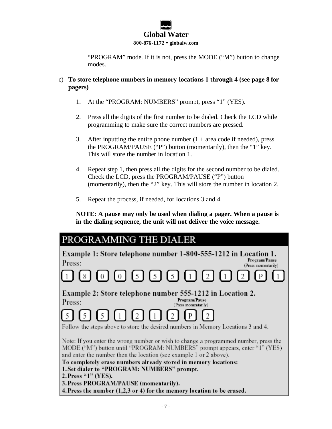"PROGRAM" mode. If it is not, press the MODE ("M") button to change modes.

- c) **To store telephone numbers in memory locations 1 through 4 (see page 8 for pagers)** 
	- 1. At the "PROGRAM: NUMBERS" prompt, press "1" (YES).
	- 2. Press all the digits of the first number to be dialed. Check the LCD while programming to make sure the correct numbers are pressed.
	- 3. After inputting the entire phone number  $(1 + \text{area code if needed})$ , press the PROGRAM/PAUSE ("P") button (momentarily), then the "1" key. This will store the number in location 1.
	- 4. Repeat step 1, then press all the digits for the second number to be dialed. Check the LCD, press the PROGRAM/PAUSE ("P") button (momentarily), then the "2" key. This will store the number in location 2.
	- 5. Repeat the process, if needed, for locations 3 and 4.

**NOTE: A pause may only be used when dialing a pager. When a pause is in the dialing sequence, the unit will not deliver the voice message.**

| PROGRAMMING THE DIALER                                                                                                                                                                                                                   |
|------------------------------------------------------------------------------------------------------------------------------------------------------------------------------------------------------------------------------------------|
| Example 1: Store telephone number 1-800-555-1212 in Location 1.<br>Program/Pause<br>Press:<br>(Press momentarily)                                                                                                                        |
| 0000000000000                                                                                                                                                                                                                            |
| Example 2: Store telephone number 555-1212 in Location 2.<br>Program/Pause<br>Press:<br>(Press momentarily)                                                                                                                              |
| $\boxed{5}$ $\boxed{5}$ $\boxed{5}$ $\boxed{1}$ $\boxed{2}$ $\boxed{1}$ $\boxed{2}$ $\boxed{P}$<br>Follow the steps above to store the desired numbers in Memory Locations 3 and 4.                                                      |
| Note: If you enter the wrong number or wish to change a programmed number, press the<br>MODE ("M") button until "PROGRAM: NUMBERS" prompt appears, enter "1" (YES)<br>and enter the number then the location (see example 1 or 2 above). |
| To completely erase numbers already stored in memory locations:<br>1. Set dialer to "PROGRAM: NUMBERS" prompt.<br>2. Press " $1$ " (YES).                                                                                                |
| 3. Press PROGRAM/PAUSE (momentarily).<br>4. Press the number (1,2,3 or 4) for the memory location to be erased.                                                                                                                          |
|                                                                                                                                                                                                                                          |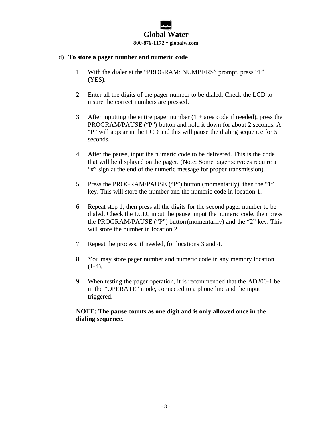#### d) **To store a pager number and numeric code**

- 1. With the dialer at the "PROGRAM: NUMBERS" prompt, press "1" (YES).
- 2. Enter all the digits of the pager number to be dialed. Check the LCD to insure the correct numbers are pressed.
- 3. After inputting the entire pager number  $(1 + \text{area code if needed})$ , press the PROGRAM/PAUSE ("P") button and hold it down for about 2 seconds. A "P" will appear in the LCD and this will pause the dialing sequence for 5 seconds.
- 4. After the pause, input the numeric code to be delivered. This is the code that will be displayed on the pager. (Note: Some pager services require a "#" sign at the end of the numeric message for proper transmission).
- 5. Press the PROGRAM/PAUSE ("P") button (momentarily), then the "1" key. This will store the number and the numeric code in location 1.
- 6. Repeat step 1, then press all the digits for the second pager number to be dialed. Check the LCD, input the pause, input the numeric code, then press the PROGRAM/PAUSE ("P") button (momentarily) and the "2" key. This will store the number in location 2.
- 7. Repeat the process, if needed, for locations 3 and 4.
- 8. You may store pager number and numeric code in any memory location  $(1-4)$ .
- 9. When testing the pager operation, it is recommended that the AD200-1 be in the "OPERATE" mode, connected to a phone line and the input triggered.

#### **NOTE: The pause counts as one digit and is only allowed once in the dialing sequence.**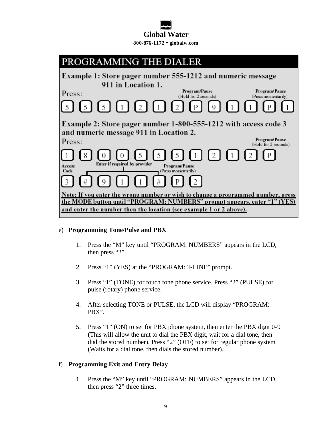

## PROGRAMMING THE DIALER

Example 1: Store pager number 555-1212 and numeric message 911 in Location 1. Program/Pause Program/Pause Press: (Hold for 2 seconds) (Press momentarily).  $5<sub>1</sub>$  $\sqrt{2}$ 5  $\vert 5 \vert$  $\vert$  1  $\mathbf{L}$  $\overline{2}$  $\mathbf Q$ Р  $\overline{1}$ P Example 2: Store pager number 1-800-555-1212 with access code 3 and numeric message 911 in Location 2. Program/Pause Press: (Hold for 2 seconds) 8  $\mathbf{1}$ 5 2  $\mathbf{1}$  $\overline{2}$ P  $\theta$ 5 5 0 1 Enter if required by provider Access Program/Pause Code (Press momentarily) 3  $\mathbf Q$ # P  $\overline{2}$ Note: If you enter the wrong number or wish to change a programmed number, press the MODE button until "PROGRAM: NUMBERS" prompt appears, enter "1" (YES) and enter the number then the location (see example 1 or 2 above).

#### e) **Programming Tone/Pulse and PBX**

- 1. Press the "M" key until "PROGRAM: NUMBERS" appears in the LCD, then press "2".
- 2. Press "1" (YES) at the "PROGRAM: T-LINE" prompt.
- 3. Press "1" (TONE) for touch tone phone service. Press "2" (PULSE) for pulse (rotary) phone service.
- 4. After selecting TONE or PULSE, the LCD will display "PROGRAM: PBX".
- 5. Press "1" (ON) to set for PBX phone system, then enter the PBX digit 0-9 (This will allow the unit to dial the PBX digit, wait for a dial tone, then dial the stored number). Press "2" (OFF) to set for regular phone system (Waits for a dial tone, then dials the stored number).

#### f) **Programming Exit and Entry Delay**

1. Press the "M" key until "PROGRAM: NUMBERS" appears in the LCD, then press "2" three times.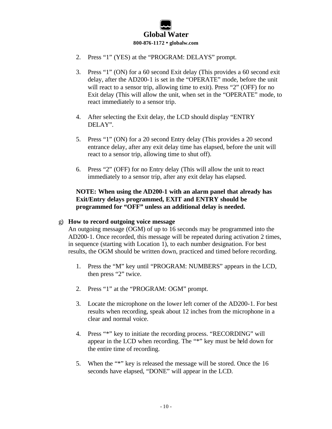- 2. Press "1" (YES) at the "PROGRAM: DELAYS" prompt.
- 3. Press "1" (ON) for a 60 second Exit delay (This provides a 60 second exit delay, after the AD200-1 is set in the "OPERATE" mode, before the unit will react to a sensor trip, allowing time to exit). Press "2" (OFF) for no Exit delay (This will allow the unit, when set in the "OPERATE" mode, to react immediately to a sensor trip.
- 4. After selecting the Exit delay, the LCD should display "ENTRY DELAY".
- 5. Press "1" (ON) for a 20 second Entry delay (This provides a 20 second entrance delay, after any exit delay time has elapsed, before the unit will react to a sensor trip, allowing time to shut off).
- 6. Press "2" (OFF) for no Entry delay (This will allow the unit to react immediately to a sensor trip, after any exit delay has elapsed.

#### **NOTE: When using the AD200-1 with an alarm panel that already has Exit/Entry delays programmed, EXIT and ENTRY should be programmed for "OFF" unless an additional delay is needed.**

#### g) **How to record outgoing voice message**

An outgoing message (OGM) of up to 16 seconds may be programmed into the AD200-1. Once recorded, this message will be repeated during activation 2 times, in sequence (starting with Location 1), to each number designation. For best results, the OGM should be written down, practiced and timed before recording.

- 1. Press the "M" key until "PROGRAM: NUMBERS" appears in the LCD, then press "2" twice.
- 2. Press "1" at the "PROGRAM: OGM" prompt.
- 3. Locate the microphone on the lower left corner of the AD200-1. For best results when recording, speak about 12 inches from the microphone in a clear and normal voice.
- 4. Press "\*" key to initiate the recording process. "RECORDING" will appear in the LCD when recording. The "\*" key must be held down for the entire time of recording.
- 5. When the "\*" key is released the message will be stored. Once the 16 seconds have elapsed, "DONE" will appear in the LCD.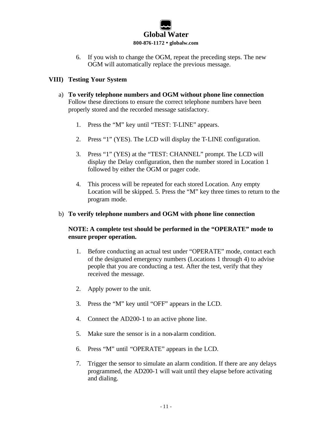6. If you wish to change the OGM, repeat the preceding steps. The new OGM will automatically replace the previous message.

#### **VIII) Testing Your System**

- a) **To verify telephone numbers and OGM without phone line connection** Follow these directions to ensure the correct telephone numbers have been properly stored and the recorded message satisfactory.
	- 1. Press the "M" key until "TEST: T-LINE" appears.
	- 2. Press "1" (YES). The LCD will display the T-LINE configuration.
	- 3. Press "1" (YES) at the "TEST: CHANNEL" prompt. The LCD will display the Delay configuration, then the number stored in Location 1 followed by either the OGM or pager code.
	- 4. This process will be repeated for each stored Location. Any empty Location will be skipped. 5. Press the "M" key three times to return to the program mode.
- b) **To verify telephone numbers and OGM with phone line connection**

#### **NOTE: A complete test should be performed in the "OPERATE" mode to ensure proper operation.**

- 1. Before conducting an actual test under "OPERATE" mode, contact each of the designated emergency numbers (Locations 1 through 4) to advise people that you are conducting a test. After the test, verify that they received the message.
- 2. Apply power to the unit.
- 3. Press the "M" key until "OFF" appears in the LCD.
- 4. Connect the AD200-1 to an active phone line.
- 5. Make sure the sensor is in a non-alarm condition.
- 6. Press "M" until "OPERATE" appears in the LCD.
- 7. Trigger the sensor to simulate an alarm condition. If there are any delays programmed, the AD200-1 will wait until they elapse before activating and dialing.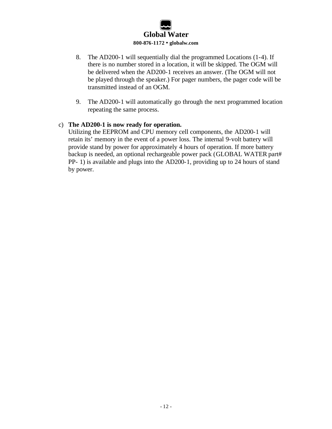- 8. The AD200-1 will sequentially dial the programmed Locations (1-4). If there is no number stored in a location, it will be skipped. The OGM will be delivered when the AD200-1 receives an answer. (The OGM will not be played through the speaker.) For pager numbers, the pager code will be transmitted instead of an OGM.
- 9. The AD200-1 will automatically go through the next programmed location repeating the same process.

#### c) **The AD200-1 is now ready for operation.**

Utilizing the EEPROM and CPU memory cell components, the AD200-1 will retain its' memory in the event of a power loss. The internal 9-volt battery will provide stand by power for approximately 4 hours of operation. If more battery backup is needed, an optional rechargeable power pack (GLOBAL WATER part# PP- 1) is available and plugs into the AD200-1, providing up to 24 hours of stand by power.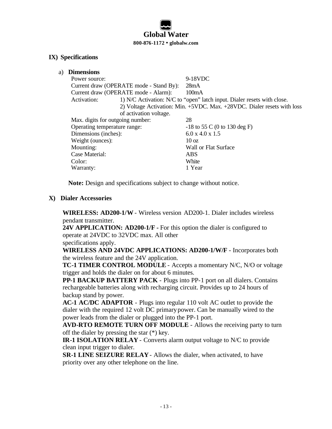#### **IX) Specifications**

a) **Dimensions**

Power source: 9-18VDC Current draw (OPERATE mode - Stand By): 28mA Current draw (OPERATE mode - Alarm): 100mA Activation: 1) N/C Activation: N/C to "open" latch input. Dialer resets with close. 2) Voltage Activation: Min. +5VDC. Max. +28VDC. Dialer resets with loss of activation voltage. Max. digits for outgoing number: 28 Operating temperature range:  $-18$  to 55 C (0 to 130 deg F) Dimensions (inches): 6.0 x 4.0 x 1.5 Weight (ounces): 10 oz Mounting: Wall or Flat Surface Case Material: ABS Color: White Warranty: 1 Year

**Note:** Design and specifications subject to change without notice.

#### **X) Dialer Accessories**

**WIRELESS: AD200-1/W** - Wireless version AD200-1. Dialer includes wireless pendant transmitter.

**24V APPLICATION: AD200-1/F -** For this option the dialer is configured to operate at 24VDC to 32VDC max. All other

specifications apply.

**WIRELESS AND 24VDC APPLICATIONS: AD200-1/W/F** - Incorporates both the wireless feature and the 24V application.

**TC-1 TIMER CONTROL MODULE** - Accepts a momentary N/C, N/O or voltage trigger and holds the dialer on for about 6 minutes.

**PP-1 BACKUP BATTERY PACK** - Plugs into PP-1 port on all dialers. Contains rechargeable batteries along with recharging circuit. Provides up to 24 hours of backup stand by power.

**AC-1 AC/DC ADAPTOR** - Plugs into regular 110 volt AC outlet to provide the dialer with the required 12 volt DC primarypower. Can be manually wired to the power leads from the dialer or plugged into the PP-1 port.

**AVD-RTO REMOTE TURN OFF MODULE** - Allows the receiving party to turn off the dialer by pressing the star (\*) key.

**IR-1 ISOLATION RELAY** - Converts alarm output voltage to N/C to provide clean input trigger to dialer.

**SR-1 LINE SEIZURE RELAY**- Allows the dialer, when activated, to have priority over any other telephone on the line.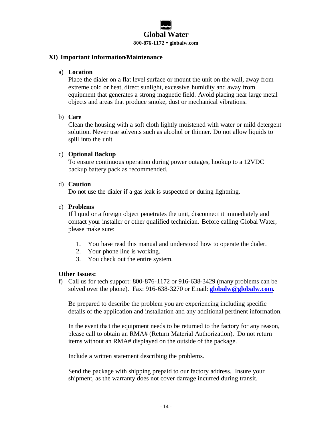#### **XI) Important Information/Maintenance**

#### a) **Location**

Place the dialer on a flat level surface or mount the unit on the wall, away from extreme cold or heat, direct sunlight, excessive humidity and away from equipment that generates a strong magnetic field. Avoid placing near large metal objects and areas that produce smoke, dust or mechanical vibrations.

#### b) **Care**

Clean the housing with a soft cloth lightly moistened with water or mild detergent solution. Never use solvents such as alcohol or thinner. Do not allow liquids to spill into the unit.

#### c) **Optional Backup**

To ensure continuous operation during power outages, hookup to a 12VDC backup battery pack as recommended.

#### d) **Caution**

Do not use the dialer if a gas leak is suspected or during lightning.

#### e) **Problems**

If liquid or a foreign object penetrates the unit, disconnect it immediately and contact your installer or other qualified technician. Before calling Global Water, please make sure:

- 1. You have read this manual and understood how to operate the dialer.
- 2. Your phone line is working.
- 3. You check out the entire system.

#### **Other Issues:**

f) Call us for tech support: 800-876-1172 or 916-638-3429 (many problems can be solved over the phone). Fax: 916-638-3270 or Email: **globalw@globalw.com.**

Be prepared to describe the problem you are experiencing including specific details of the application and installation and any additional pertinent information.

In the event that the equipment needs to be returned to the factory for any reason, please call to obtain an RMA# (Return Material Authorization). Do not return items without an RMA# displayed on the outside of the package.

Include a written statement describing the problems.

Send the package with shipping prepaid to our factory address. Insure your shipment, as the warranty does not cover damage incurred during transit.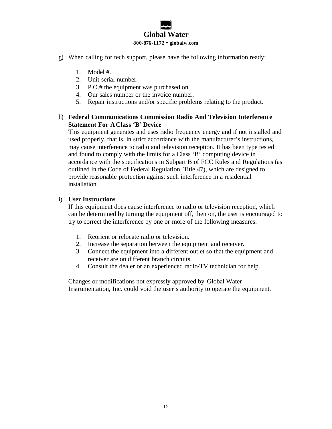- g) When calling for tech support, please have the following information ready;
	- 1. Model #.
	- 2. Unit serial number.
	- 3. P.O.# the equipment was purchased on.
	- 4. Our sales number or the invoice number.
	- 5. Repair instructions and/or specific problems relating to the product.

#### h) **Federal Communications Commission Radio And Television Interference Statement For AClass 'B' Device**

This equipment generates and uses radio frequency energy and if not installed and used properly, that is, in strict accordance with the manufacturer's instructions, may cause interference to radio and television reception. It has been type tested and found to comply with the limits for a Class 'B' computing device in accordance with the specifications in Subpart B of FCC Rules and Regulations (as outlined in the Code of Federal Regulation, Title 47), which are designed to provide reasonable protection against such interference in a residential installation.

#### i) **User Instructions**

If this equipment does cause interference to radio or television reception, which can be determined by turning the equipment off, then on, the user is encouraged to try to correct the interference by one or more of the following measures:

- 1. Reorient or relocate radio or television.
- 2. Increase the separation between the equipment and receiver.
- 3. Connect the equipment into a different outlet so that the equipment and receiver are on different branch circuits.
- 4. Consult the dealer or an experienced radio/TV technician for help.

Changes or modifications not expressly approved by Global Water Instrumentation, Inc. could void the user's authority to operate the equipment.